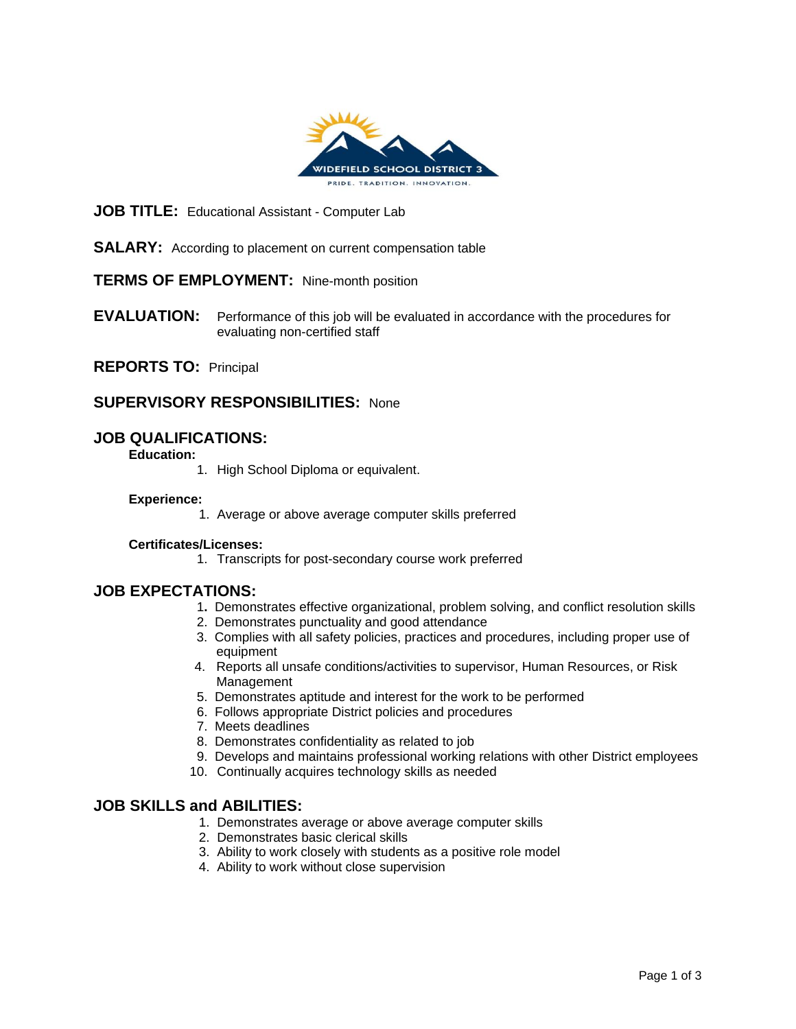

#### **JOB TITLE:** Educational Assistant - Computer Lab

**SALARY:** According to placement on current compensation table

## **TERMS OF EMPLOYMENT:** Nine-month position

**EVALUATION:** Performance of this job will be evaluated in accordance with the procedures for evaluating non-certified staff

**REPORTS TO:** Principal

## **SUPERVISORY RESPONSIBILITIES:** None

## **JOB QUALIFICATIONS:**

**Education:** 

1. High School Diploma or equivalent.

#### **Experience:**

1. Average or above average computer skills preferred

#### **Certificates/Licenses:**

1. Transcripts for post-secondary course work preferred

#### **JOB EXPECTATIONS:**

- 1**.** Demonstrates effective organizational, problem solving, and conflict resolution skills
- 2. Demonstrates punctuality and good attendance
- 3. Complies with all safety policies, practices and procedures, including proper use of equipment
- 4. Reports all unsafe conditions/activities to supervisor, Human Resources, or Risk Management
- 5. Demonstrates aptitude and interest for the work to be performed
- 6. Follows appropriate District policies and procedures
- 7. Meets deadlines
- 8. Demonstrates confidentiality as related to job
- 9. Develops and maintains professional working relations with other District employees
- 10. Continually acquires technology skills as needed

### **JOB SKILLS and ABILITIES:**

- 1. Demonstrates average or above average computer skills
- 2. Demonstrates basic clerical skills
- 3. Ability to work closely with students as a positive role model
- 4. Ability to work without close supervision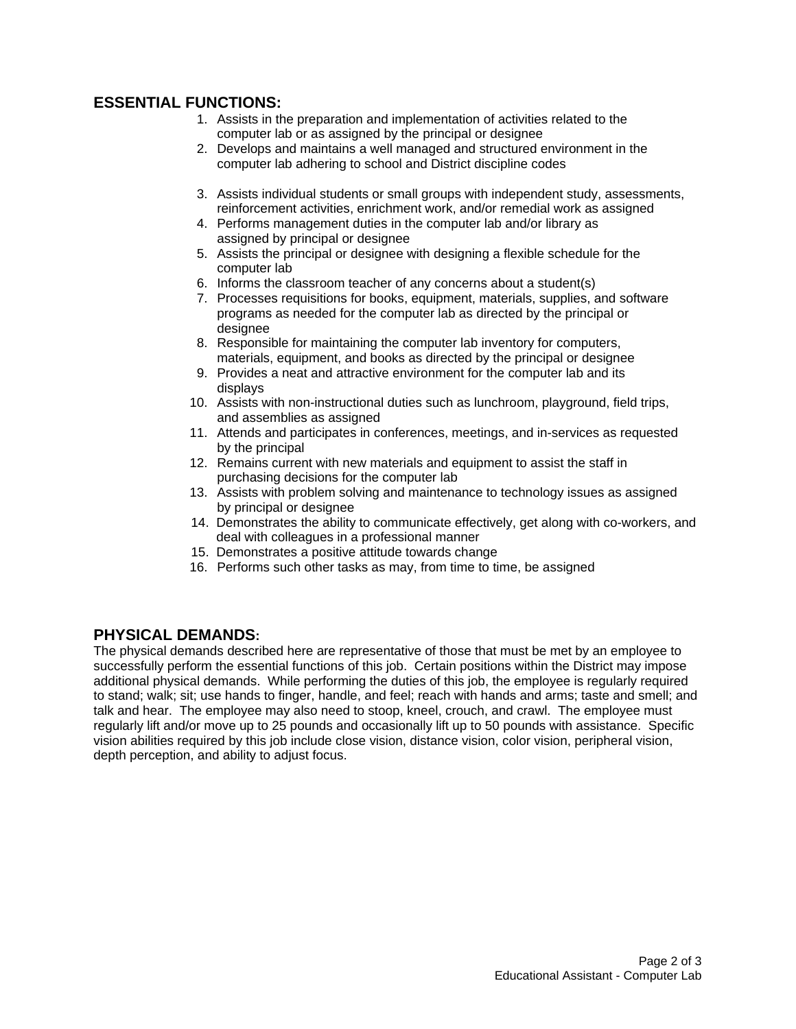# **ESSENTIAL FUNCTIONS:**

- 1. Assists in the preparation and implementation of activities related to the computer lab or as assigned by the principal or designee
- 2. Develops and maintains a well managed and structured environment in the computer lab adhering to school and District discipline codes
- 3. Assists individual students or small groups with independent study, assessments, reinforcement activities, enrichment work, and/or remedial work as assigned
- 4. Performs management duties in the computer lab and/or library as assigned by principal or designee
- 5. Assists the principal or designee with designing a flexible schedule for the computer lab
- 6. Informs the classroom teacher of any concerns about a student(s)
- 7. Processes requisitions for books, equipment, materials, supplies, and software programs as needed for the computer lab as directed by the principal or designee
- 8. Responsible for maintaining the computer lab inventory for computers, materials, equipment, and books as directed by the principal or designee
- 9. Provides a neat and attractive environment for the computer lab and its displays
- 10. Assists with non-instructional duties such as lunchroom, playground, field trips, and assemblies as assigned
- 11. Attends and participates in conferences, meetings, and in-services as requested by the principal
- 12. Remains current with new materials and equipment to assist the staff in purchasing decisions for the computer lab
- 13. Assists with problem solving and maintenance to technology issues as assigned by principal or designee
- 14. Demonstrates the ability to communicate effectively, get along with co-workers, and deal with colleagues in a professional manner
- 15. Demonstrates a positive attitude towards change
- 16. Performs such other tasks as may, from time to time, be assigned

## **PHYSICAL DEMANDS:**

The physical demands described here are representative of those that must be met by an employee to successfully perform the essential functions of this job. Certain positions within the District may impose additional physical demands. While performing the duties of this job, the employee is regularly required to stand; walk; sit; use hands to finger, handle, and feel; reach with hands and arms; taste and smell; and talk and hear. The employee may also need to stoop, kneel, crouch, and crawl. The employee must regularly lift and/or move up to 25 pounds and occasionally lift up to 50 pounds with assistance. Specific vision abilities required by this job include close vision, distance vision, color vision, peripheral vision, depth perception, and ability to adjust focus.